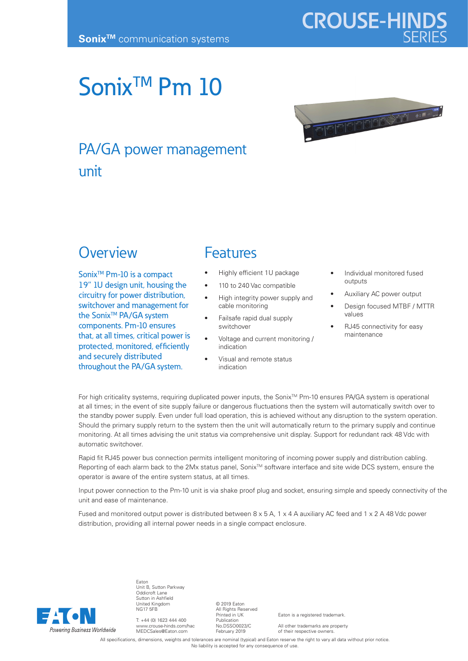## Sonix<sup>™</sup> Pm 10

# EFERENTIFICATE

### PA/GA power management unit

#### **Overview**

Sonix<sup>™</sup> Pm-10 is a compact 19" 1U design unit, housing the circuitry for power distribution, switchover and management for the Sonix<sup>™</sup> PA/GA system components. Pm-10 ensures that, at all times, critical power is protected, monitored, efficiently and securely distributed throughout the PA/GA system.

#### Features

- Highly efficient 1U package
- 110 to 240 Vac compatible
- High integrity power supply and cable monitoring
- Failsafe rapid dual supply switchover
- Voltage and current monitoring / indication
- Visual and remote status indication
- Individual monitored fused outputs
- Auxiliary AC power output
- Design focused MTBF / MTTR values
- RJ45 connectivity for easy maintenance

For high criticality systems, requiring duplicated power inputs, the Sonix™ Pm-10 ensures PA/GA system is operational at all times; in the event of site supply failure or dangerous fluctuations then the system will automatically switch over to the standby power supply. Even under full load operation, this is achieved without any disruption to the system operation. Should the primary supply return to the system then the unit will automatically return to the primary supply and continue monitoring. At all times advising the unit status via comprehensive unit display. Support for redundant rack 48 Vdc with automatic switchover.

Rapid fit RJ45 power bus connection permits intelligent monitoring of incoming power supply and distribution cabling. Reporting of each alarm back to the 2Mx status panel, Sonix™ software interface and site wide DCS system, ensure the operator is aware of the entire system status, at all times.

Input power connection to the Pm-10 unit is via shake proof plug and socket, ensuring simple and speedy connectivity of the unit and ease of maintenance.

Fused and monitored output power is distributed between 8 x 5 A, 1 x 4 A auxiliary AC feed and 1 x 2 A 48 Vdc power distribution, providing all internal power needs in a single compact enclosure.



Eaton Unit B, Sutton Parkway Oddicroft Lane Sutton in Ashfield United Kingdom NG17 5FB

T: +44 (0) 1623 444 400 www.crouse-hinds.com/hac MEDCSales@Eaton.com

© 2019 Eaton All Rights Reserved Printed in UK Publication No.DSSO0023/C February 2019

Eaton is a registered trademark.

All other trademarks are property of their respective owners.

All specifications, dimensions, weights and tolerances are nominal (typical) and Eaton reserve the right to vary all data without prior notice. No liability is accepted for any consequence of use.